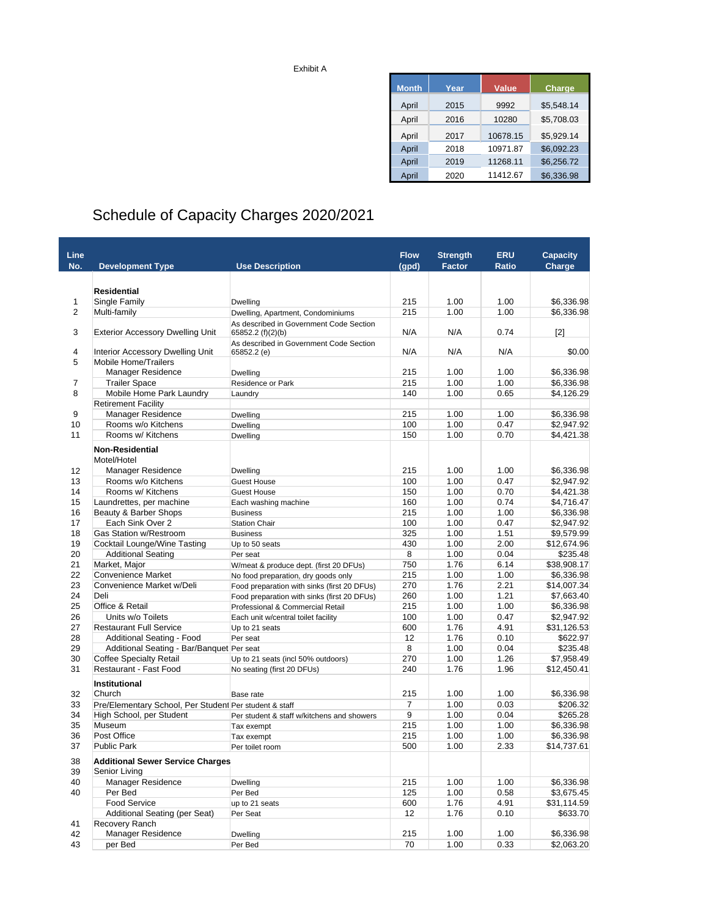| Exhibit A |  |
|-----------|--|
|-----------|--|

| <b>Month</b> | Year | <b>Value</b> | <b>Charge</b> |
|--------------|------|--------------|---------------|
| April        | 2015 | 9992         | \$5,548.14    |
| April        | 2016 | 10280        | \$5,708.03    |
| April        | 2017 | 10678.15     | \$5.929.14    |
| April        | 2018 | 10971.87     | \$6,092.23    |
| April        | 2019 | 11268.11     | \$6,256.72    |
| April        | 2020 | 11412.67     | \$6,336.98    |

## Schedule of Capacity Charges 2020/2021

| Line           |                                                                                    |                                                                                 | <b>Flow</b> | <b>Strength</b> | <b>ERU</b>   | <b>Capacity</b>           |
|----------------|------------------------------------------------------------------------------------|---------------------------------------------------------------------------------|-------------|-----------------|--------------|---------------------------|
| No.            | <b>Development Type</b>                                                            | <b>Use Description</b>                                                          | (gpd)       | <b>Factor</b>   | <b>Ratio</b> | Charge                    |
|                |                                                                                    |                                                                                 |             |                 |              |                           |
|                | Residential                                                                        |                                                                                 |             |                 |              |                           |
| 1              | Single Family                                                                      | Dwelling                                                                        | 215         | 1.00            | 1.00         | \$6,336.98                |
| $\overline{2}$ | Multi-family                                                                       | Dwelling, Apartment, Condominiums                                               | 215         | 1.00            | 1.00         | \$6,336.98                |
|                |                                                                                    | As described in Government Code Section                                         |             |                 |              |                           |
| 3              | <b>Exterior Accessory Dwelling Unit</b>                                            | 65852.2 (f)(2)(b)                                                               | N/A         | N/A             | 0.74         | $[2]$                     |
|                |                                                                                    | As described in Government Code Section                                         |             |                 |              |                           |
| 4              | <b>Interior Accessory Dwelling Unit</b>                                            | 65852.2 (e)                                                                     | N/A         | N/A             | N/A          | \$0.00                    |
| 5              | Mobile Home/Trailers                                                               |                                                                                 |             |                 |              |                           |
|                | <b>Manager Residence</b>                                                           | Dwelling                                                                        | 215         | 1.00            | 1.00         | \$6,336.98                |
| $\overline{7}$ | <b>Trailer Space</b>                                                               | Residence or Park                                                               | 215         | 1.00            | 1.00         | \$6,336.98                |
| 8              | Mobile Home Park Laundry                                                           | Laundry                                                                         | 140         | 1.00            | 0.65         | \$4,126.29                |
|                | <b>Retirement Facility</b>                                                         |                                                                                 |             |                 |              |                           |
| 9              | Manager Residence                                                                  | Dwelling                                                                        | 215         | 1.00            | 1.00         | \$6,336.98                |
| 10             | Rooms w/o Kitchens<br>Rooms w/ Kitchens                                            | Dwelling                                                                        | 100         | 1.00            | 0.47         | \$2,947.92                |
| 11             |                                                                                    | Dwelling                                                                        | 150         | 1.00            | 0.70         | \$4,421.38                |
|                | <b>Non-Residential</b>                                                             |                                                                                 |             |                 |              |                           |
|                | Motel/Hotel                                                                        |                                                                                 |             |                 |              |                           |
| 12             | <b>Manager Residence</b>                                                           | Dwelling                                                                        | 215         | 1.00            | 1.00         | \$6,336.98                |
| 13             | Rooms w/o Kitchens                                                                 | <b>Guest House</b>                                                              | 100         | 1.00            | 0.47         | \$2,947.92                |
| 14             | Rooms w/ Kitchens                                                                  | Guest House                                                                     | 150         | 1.00            | 0.70         | \$4,421.38                |
| 15             | Laundrettes, per machine                                                           | Each washing machine                                                            | 160         | 1.00            | 0.74         | \$4,716.47                |
| 16             | Beauty & Barber Shops                                                              | <b>Business</b>                                                                 | 215         | 1.00            | 1.00         | \$6.336.98                |
| 17             | Each Sink Over 2                                                                   | <b>Station Chair</b>                                                            | 100         | 1.00            | 0.47         | \$2,947.92                |
| 18             | Gas Station w/Restroom                                                             | <b>Business</b>                                                                 | 325         | 1.00            | 1.51         | \$9,579.99                |
| 19             | Cocktail Lounge/Wine Tasting                                                       | Up to 50 seats                                                                  | 430         | 1.00            | 2.00         | \$12,674.96               |
| 20             | <b>Additional Seating</b>                                                          | Per seat                                                                        | 8           | 1.00            | 0.04         | \$235.48                  |
| 21             | Market, Major                                                                      | W/meat & produce dept. (first 20 DFUs)                                          | 750         | 1.76            | 6.14         | \$38,908.17               |
| 22<br>23       | <b>Convenience Market</b><br>Convenience Market w/Deli                             | No food preparation, dry goods only                                             | 215<br>270  | 1.00<br>1.76    | 1.00         | \$6.336.98                |
| 24             | Deli                                                                               | Food preparation with sinks (first 20 DFUs)                                     | 260         | 1.00            | 2.21<br>1.21 | \$14,007.34<br>\$7,663.40 |
| 25             | Office & Retail                                                                    | Food preparation with sinks (first 20 DFUs)<br>Professional & Commercial Retail | 215         | 1.00            | 1.00         | \$6,336.98                |
| 26             | Units w/o Toilets                                                                  | Each unit w/central toilet facility                                             | 100         | 1.00            | 0.47         | \$2,947.92                |
| 27             | <b>Restaurant Full Service</b>                                                     | Up to 21 seats                                                                  | 600         | 1.76            | 4.91         | \$31,126.53               |
| 28             | Additional Seating - Food                                                          | Per seat                                                                        | 12          | 1.76            | 0.10         | \$622.97                  |
| 29             | Additional Seating - Bar/Banquet Per seat                                          |                                                                                 | 8           | 1.00            | 0.04         | \$235.48                  |
| 30             | <b>Coffee Specialty Retail</b>                                                     | Up to 21 seats (incl 50% outdoors)                                              | 270         | 1.00            | 1.26         | \$7,958.49                |
| 31             | Restaurant - Fast Food                                                             | No seating (first 20 DFUs)                                                      | 240         | 1.76            | 1.96         | \$12,450.41               |
|                |                                                                                    |                                                                                 |             |                 |              |                           |
|                | Institutional<br>Church                                                            |                                                                                 | 215         | 1.00            | 1.00         | \$6,336.98                |
| 32             |                                                                                    | Base rate                                                                       | 7           | 1.00            |              | \$206.32                  |
| 33<br>34       | Pre/Elementary School, Per Student Per student & staff<br>High School, per Student | Per student & staff w/kitchens and showers                                      | 9           | 1.00            | 0.03<br>0.04 | \$265.28                  |
| 35             | Museum                                                                             |                                                                                 | 215         | 1.00            | 1.00         | \$6,336.98                |
| 36             | Post Office                                                                        | Tax exempt<br>Tax exempt                                                        | 215         | 1.00            | 1.00         | \$6,336.98                |
| 37             | Public Park                                                                        | Per toilet room                                                                 | 500         | 1.00            | 2.33         | \$14,737.61               |
|                |                                                                                    |                                                                                 |             |                 |              |                           |
| 38<br>39       | Additional Sewer Service Charges<br>Senior Living                                  |                                                                                 |             |                 |              |                           |
| 40             | Manager Residence                                                                  | Dwelling                                                                        | 215         | 1.00            | 1.00         | \$6,336.98                |
| 40             | Per Bed                                                                            | Per Bed                                                                         | 125         | 1.00            | 0.58         | \$3,675.45                |
|                | <b>Food Service</b>                                                                | up to 21 seats                                                                  | 600         | 1.76            | 4.91         | \$31,114.59               |
|                | Additional Seating (per Seat)                                                      | Per Seat                                                                        | 12          | 1.76            | 0.10         | \$633.70                  |
| 41             | Recovery Ranch                                                                     |                                                                                 |             |                 |              |                           |
| 42             | Manager Residence                                                                  | Dwelling                                                                        | 215         | 1.00            | 1.00         | \$6,336.98                |
| 43             | per Bed                                                                            | Per Bed                                                                         | 70          | 1.00            | 0.33         | \$2,063.20                |